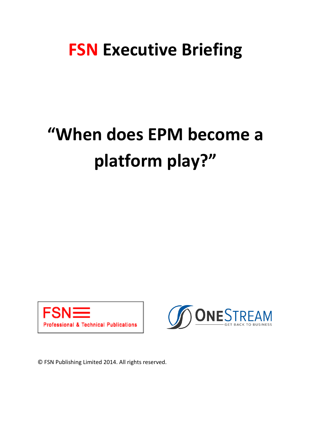## **FSN Executive Briefing**

# **"When does EPM become a platform play?"**





© FSN Publishing Limited 2014. All rights reserved.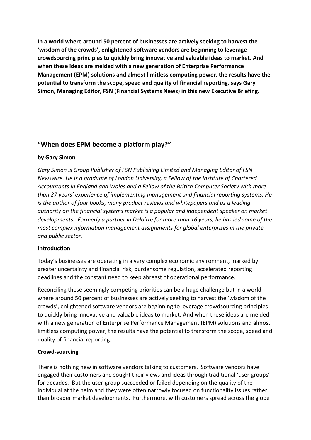**In a world where around 50 percent of businesses are actively seeking to harvest the 'wisdom of the crowds', enlightened software vendors are beginning to leverage crowdsourcing principles to quickly bring innovative and valuable ideas to market. And when these ideas are melded with a new generation of Enterprise Performance Management (EPM) solutions and almost limitless computing power, the results have the potential to transform the scope, speed and quality of financial reporting, says Gary Simon, Managing Editor, FSN (Financial Systems News) in this new Executive Briefing.**

### **"When does EPM become a platform play?"**

#### **by Gary Simon**

*Gary Simon is Group Publisher of FSN Publishing Limited and Managing Editor of FSN Newswire. He is a graduate of London University, a Fellow of the Institute of Chartered Accountants in England and Wales and a Fellow of the British Computer Society with more than 27 years' experience of implementing management and financial reporting systems. He is the author of four books, many product reviews and whitepapers and as a leading authority on the financial systems market is a popular and independent speaker on market developments. Formerly a partner in Deloitte for more than 16 years, he has led some of the most complex information management assignments for global enterprises in the private and public sector.*

#### **Introduction**

Today's businesses are operating in a very complex economic environment, marked by greater uncertainty and financial risk, burdensome regulation, accelerated reporting deadlines and the constant need to keep abreast of operational performance.

Reconciling these seemingly competing priorities can be a huge challenge but in a world where around 50 percent of businesses are actively seeking to harvest the 'wisdom of the crowds', enlightened software vendors are beginning to leverage crowdsourcing principles to quickly bring innovative and valuable ideas to market. And when these ideas are melded with a new generation of Enterprise Performance Management (EPM) solutions and almost limitless computing power, the results have the potential to transform the scope, speed and quality of financial reporting.

#### **Crowd-sourcing**

There is nothing new in software vendors talking to customers. Software vendors have engaged their customers and sought their views and ideas through traditional 'user groups' for decades. But the user-group succeeded or failed depending on the quality of the individual at the helm and they were often narrowly focused on functionality issues rather than broader market developments. Furthermore, with customers spread across the globe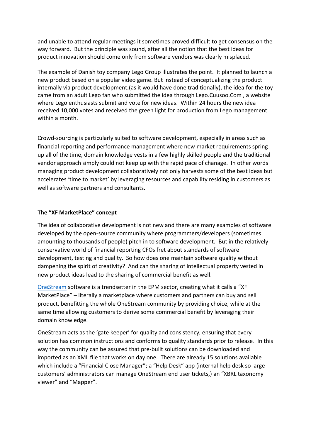and unable to attend regular meetings it sometimes proved difficult to get consensus on the way forward. But the principle was sound, after all the notion that the best ideas for product innovation should come only from software vendors was clearly misplaced.

The example of Danish toy company Lego Group illustrates the point. It planned to launch a new product based on a popular video game. But instead of conceptualizing the product internally via product development,(as it would have done traditionally), the idea for the toy came from an adult Lego fan who submitted the idea through Lego.Cuusoo.Com , a website where Lego enthusiasts submit and vote for new ideas. Within 24 hours the new idea received 10,000 votes and received the green light for production from Lego management within a month.

Crowd-sourcing is particularly suited to software development, especially in areas such as financial reporting and performance management where new market requirements spring up all of the time, domain knowledge vests in a few highly skilled people and the traditional vendor approach simply could not keep up with the rapid pace of chanage. In other words managing product development collaboratively not only harvests some of the best ideas but accelerates 'time to market' by leveraging resources and capability residing in customers as well as software partners and consultants.

#### **The "XF MarketPlace" concept**

The idea of collaborative development is not new and there are many examples of software developed by the open-source community where programmers/developers (sometimes amounting to thousands of people) pitch in to software development. But in the relatively conservative world of financial reporting CFOs fret about standards of software development, testing and quality. So how does one maintain software quality without dampening the spirit of creativity? And can the sharing of intellectual property vested in new product ideas lead to the sharing of commercial benefit as well.

[OneStream](http://www.onestreamsoftware.com/) software is a trendsetter in the EPM sector, creating what it calls a "XF MarketPlace" – literally a marketplace where customers and partners can buy and sell product, benefitting the whole OneStream community by providing choice, while at the same time allowing customers to derive some commercial benefit by leveraging their domain knowledge.

OneStream acts as the 'gate keeper' for quality and consistency, ensuring that every solution has common instructions and conforms to quality standards prior to release. In this way the community can be assured that pre-built solutions can be downloaded and imported as an XML file that works on day one. There are already 15 solutions available which include a "Financial Close Manager"; a "Help Desk" app (internal help desk so large customers' administrators can manage OneStream end user tickets,) an "XBRL taxonomy viewer" and "Mapper".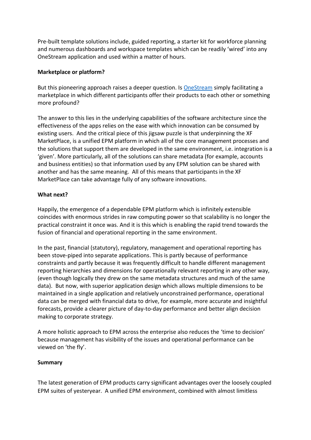Pre-built template solutions include, guided reporting, a starter kit for workforce planning and numerous dashboards and workspace templates which can be readily 'wired' into any OneStream application and used within a matter of hours.

#### **Marketplace or platform?**

But this pioneering approach raises a deeper question. Is [OneStream](http://www.onestreamsoftware.com/) simply facilitating a marketplace in which different participants offer their products to each other or something more profound?

The answer to this lies in the underlying capabilities of the software architecture since the effectiveness of the apps relies on the ease with which innovation can be consumed by existing users. And the critical piece of this jigsaw puzzle is that underpinning the XF MarketPlace, is a unified EPM platform in which all of the core management processes and the solutions that support them are developed in the same environment, i.e. integration is a 'given'. More particularly, all of the solutions can share metadata (for example, accounts and business entities) so that information used by any EPM solution can be shared with another and has the same meaning. All of this means that participants in the XF MarketPlace can take advantage fully of any software innovations.

#### **What next?**

Happily, the emergence of a dependable EPM platform which is infinitely extensible coincides with enormous strides in raw computing power so that scalability is no longer the practical constraint it once was. And it is this which is enabling the rapid trend towards the fusion of financial and operational reporting in the same environment.

In the past, financial (statutory), regulatory, management and operational reporting has been stove-piped into separate applications. This is partly because of performance constraints and partly because it was frequently difficult to handle different management reporting hierarchies and dimensions for operationally relevant reporting in any other way, (even though logically they drew on the same metadata structures and much of the same data). But now, with superior application design which allows multiple dimensions to be maintained in a single application and relatively unconstrained performance, operational data can be merged with financial data to drive, for example, more accurate and insightful forecasts, provide a clearer picture of day-to-day performance and better align decision making to corporate strategy.

A more holistic approach to EPM across the enterprise also reduces the 'time to decision' because management has visibility of the issues and operational performance can be viewed on 'the fly'.

#### **Summary**

The latest generation of EPM products carry significant advantages over the loosely coupled EPM suites of yesteryear. A unified EPM environment, combined with almost limitless